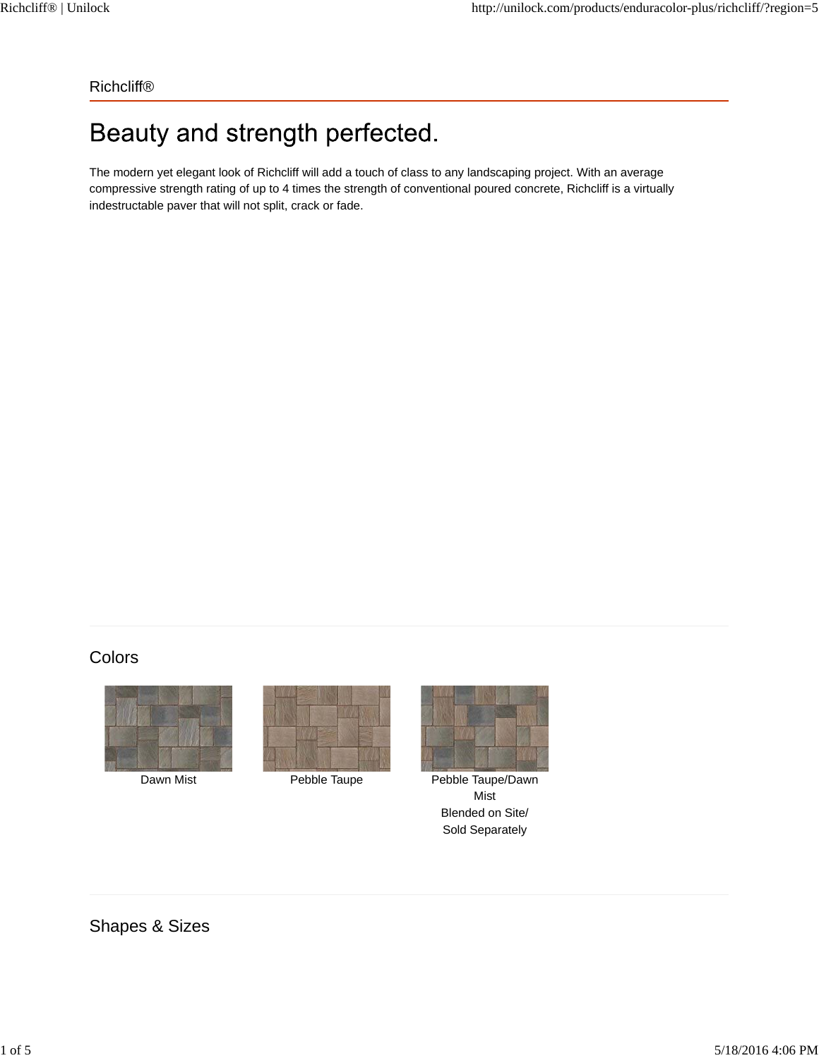Richcliff®

# Beauty and strength perfected.

The modern yet elegant look of Richcliff will add a touch of class to any landscaping project. With an average compressive strength rating of up to 4 times the strength of conventional poured concrete, Richcliff is a virtually indestructable paver that will not split, crack or fade.

## Colors







Dawn Mist **Pebble Taupe** Pebble Taupe Pebble Taupe/Dawn Mist Blended on Site/ Sold Separately

## Shapes & Sizes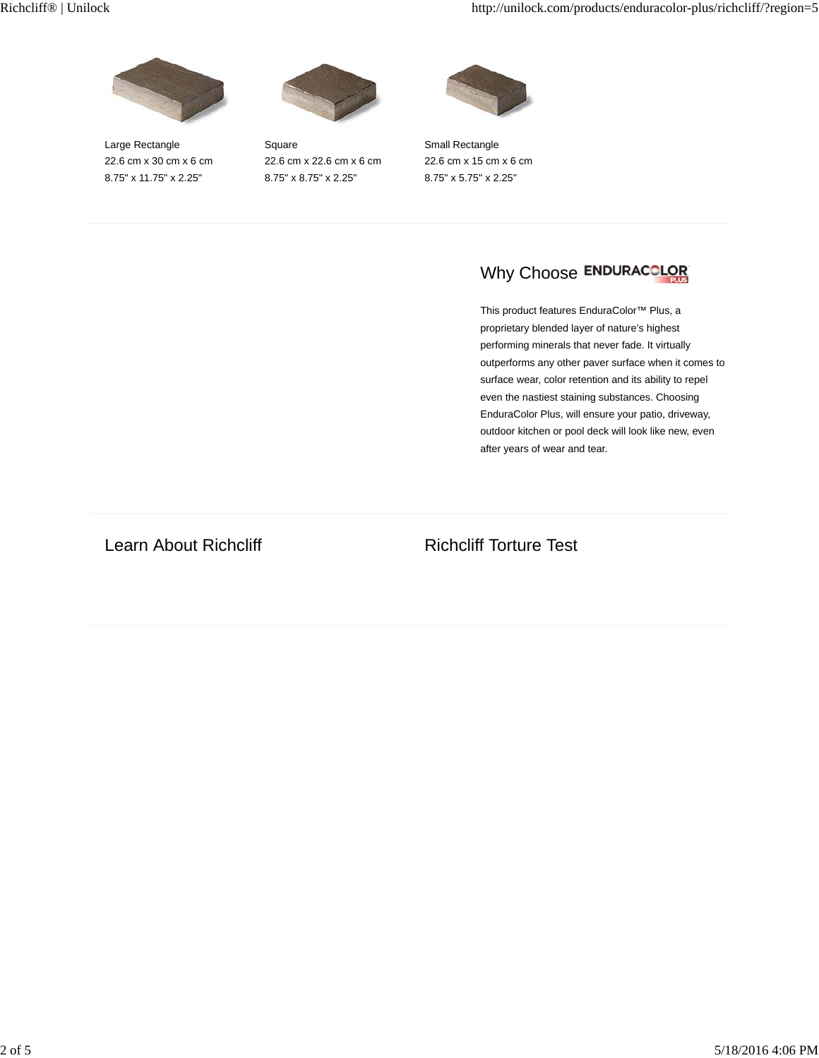

Large Rectangle 22.6 cm x 30 cm x 6 cm 8.75" x 11.75" x 2.25"



Square 22.6 cm x 22.6 cm x 6 cm 8.75" x 8.75" x 2.25"



Small Rectangle 22.6 cm x 15 cm x 6 cm 8.75" x 5.75" x 2.25"

## Why Choose ENDURACOLOR

This product features EnduraColor™ Plus, a proprietary blended layer of nature's highest performing minerals that never fade. It virtually outperforms any other paver surface when it comes to surface wear, color retention and its ability to repel even the nastiest staining substances. Choosing EnduraColor Plus, will ensure your patio, driveway, outdoor kitchen or pool deck will look like new, even after years of wear and tear.

## Learn About Richcliff **Richcliff** Richcliff Torture Test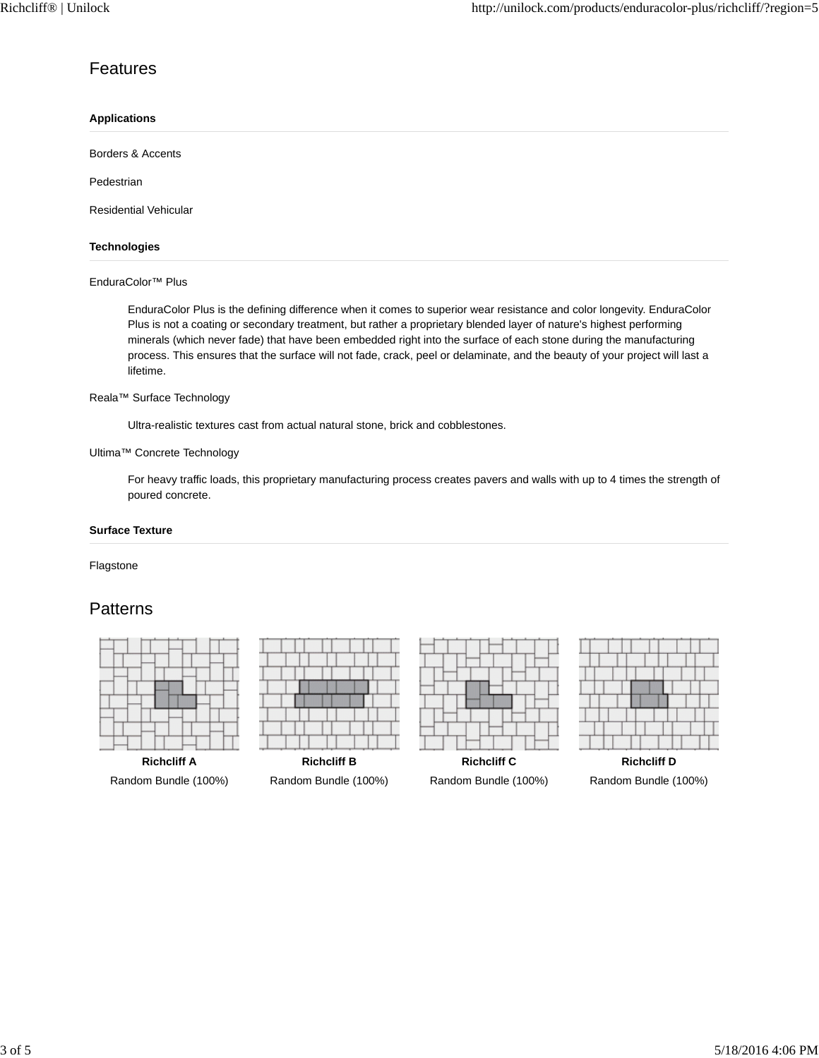## Features

#### **Applications**

Borders & Accents

Pedestrian

Residential Vehicular

#### **Technologies**

#### EnduraColor™ Plus

EnduraColor Plus is the defining difference when it comes to superior wear resistance and color longevity. EnduraColor Plus is not a coating or secondary treatment, but rather a proprietary blended layer of nature's highest performing minerals (which never fade) that have been embedded right into the surface of each stone during the manufacturing process. This ensures that the surface will not fade, crack, peel or delaminate, and the beauty of your project will last a lifetime.

#### Reala™ Surface Technology

Ultra-realistic textures cast from actual natural stone, brick and cobblestones.

### Ultima™ Concrete Technology

For heavy traffic loads, this proprietary manufacturing process creates pavers and walls with up to 4 times the strength of poured concrete.

#### **Surface Texture**

Flagstone

## **Patterns**



Random Bundle (100%)



**Richcliff B** Random Bundle (100%)



**Richcliff C** Random Bundle (100%)



**Richcliff D** Random Bundle (100%)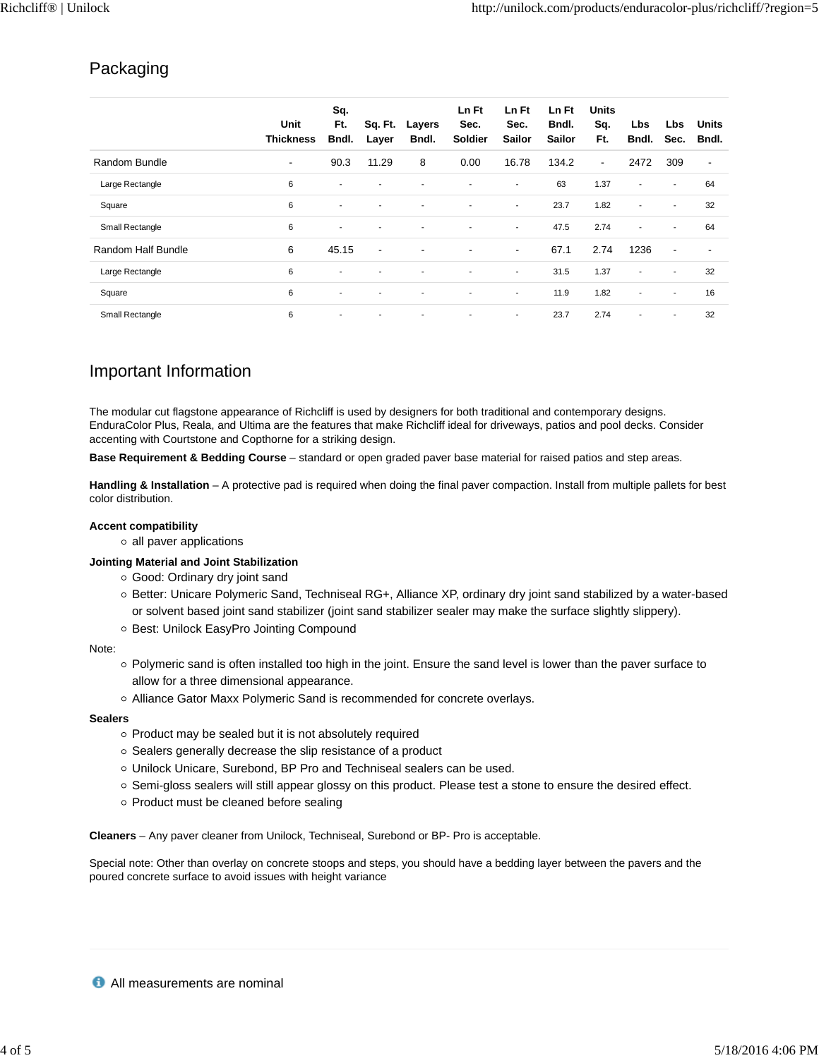## Packaging

|                    | Unit<br><b>Thickness</b> | Sq.<br>Ft.<br>Bndl.      | Sq. Ft.<br>Layer         | Layers<br>Bndl.          | Ln Ft<br>Sec.<br><b>Soldier</b> | Ln Ft<br>Sec.<br><b>Sailor</b> | Ln Ft<br>Bndl.<br><b>Sailor</b> | <b>Units</b><br>Sq.<br>Ft. | <b>Lbs</b><br>Bndl.      | Lbs<br>Sec.              | Units<br>Bndl.           |
|--------------------|--------------------------|--------------------------|--------------------------|--------------------------|---------------------------------|--------------------------------|---------------------------------|----------------------------|--------------------------|--------------------------|--------------------------|
| Random Bundle      | $\overline{\phantom{a}}$ | 90.3                     | 11.29                    | 8                        | 0.00                            | 16.78                          | 134.2                           | $\overline{\phantom{a}}$   | 2472                     | 309                      | $\overline{\phantom{a}}$ |
| Large Rectangle    | 6                        | ٠                        |                          | ٠                        | ٠                               | ٠                              | 63                              | 1.37                       | $\overline{\phantom{a}}$ | $\overline{\phantom{a}}$ | 64                       |
| Square             | 6                        | ٠                        |                          | ٠                        | $\overline{\phantom{a}}$        | $\overline{\phantom{a}}$       | 23.7                            | 1.82                       | $\overline{\phantom{a}}$ | $\overline{\phantom{a}}$ | 32                       |
| Small Rectangle    | 6                        | $\overline{\phantom{a}}$ |                          |                          | ٠                               | ٠                              | 47.5                            | 2.74                       | $\blacksquare$           | $\overline{\phantom{a}}$ | 64                       |
| Random Half Bundle | 6                        | 45.15                    | $\overline{\phantom{a}}$ | ٠                        | $\overline{\phantom{a}}$        | ٠                              | 67.1                            | 2.74                       | 1236                     | $\blacksquare$           | $\overline{\phantom{a}}$ |
| Large Rectangle    | 6                        | ٠                        |                          | ٠                        | ٠                               | $\overline{\phantom{a}}$       | 31.5                            | 1.37                       | $\overline{\phantom{a}}$ | $\overline{\phantom{a}}$ | 32                       |
| Square             | 6                        | $\overline{\phantom{a}}$ |                          | $\overline{\phantom{a}}$ | $\overline{\phantom{a}}$        | ۰                              | 11.9                            | 1.82                       | $\overline{\phantom{a}}$ | $\overline{\phantom{a}}$ | 16                       |
| Small Rectangle    | 6                        | $\overline{\phantom{a}}$ |                          | ٠                        | ٠                               | $\overline{\phantom{a}}$       | 23.7                            | 2.74                       | $\blacksquare$           | $\overline{\phantom{a}}$ | 32                       |

## Important Information

The modular cut flagstone appearance of Richcliff is used by designers for both traditional and contemporary designs. EnduraColor Plus, Reala, and Ultima are the features that make Richcliff ideal for driveways, patios and pool decks. Consider accenting with Courtstone and Copthorne for a striking design.

**Base Requirement & Bedding Course** – standard or open graded paver base material for raised patios and step areas.

**Handling & Installation** – A protective pad is required when doing the final paver compaction. Install from multiple pallets for best color distribution.

#### **Accent compatibility**

 $\circ$  all paver applications

#### **Jointing Material and Joint Stabilization**

- Good: Ordinary dry joint sand
- Better: Unicare Polymeric Sand, Techniseal RG+, Alliance XP, ordinary dry joint sand stabilized by a water-based or solvent based joint sand stabilizer (joint sand stabilizer sealer may make the surface slightly slippery).
- o Best: Unilock EasyPro Jointing Compound

Note:

- o Polymeric sand is often installed too high in the joint. Ensure the sand level is lower than the paver surface to allow for a three dimensional appearance.
- o Alliance Gator Maxx Polymeric Sand is recommended for concrete overlays.

#### **Sealers**

- o Product may be sealed but it is not absolutely required
- Sealers generally decrease the slip resistance of a product
- Unilock Unicare, Surebond, BP Pro and Techniseal sealers can be used.
- o Semi-gloss sealers will still appear glossy on this product. Please test a stone to ensure the desired effect.
- o Product must be cleaned before sealing

**Cleaners** – Any paver cleaner from Unilock, Techniseal, Surebond or BP- Pro is acceptable.

Special note: Other than overlay on concrete stoops and steps, you should have a bedding layer between the pavers and the poured concrete surface to avoid issues with height variance

**All measurements are nominal**